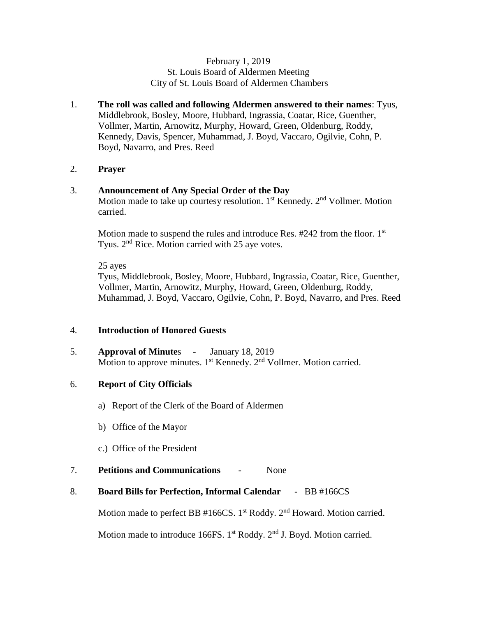## February 1, 2019 St. Louis Board of Aldermen Meeting City of St. Louis Board of Aldermen Chambers

1. **The roll was called and following Aldermen answered to their names**: Tyus, Middlebrook, Bosley, Moore, Hubbard, Ingrassia, Coatar, Rice, Guenther, Vollmer, Martin, Arnowitz, Murphy, Howard, Green, Oldenburg, Roddy, Kennedy, Davis, Spencer, Muhammad, J. Boyd, Vaccaro, Ogilvie, Cohn, P. Boyd, Navarro, and Pres. Reed

## 2. **Prayer**

## 3. **Announcement of Any Special Order of the Day**

Motion made to take up courtesy resolution.  $1<sup>st</sup>$  Kennedy.  $2<sup>nd</sup>$  Vollmer. Motion carried.

Motion made to suspend the rules and introduce Res.  $#242$  from the floor. 1st Tyus. 2<sup>nd</sup> Rice. Motion carried with 25 aye votes.

25 ayes

Tyus, Middlebrook, Bosley, Moore, Hubbard, Ingrassia, Coatar, Rice, Guenther, Vollmer, Martin, Arnowitz, Murphy, Howard, Green, Oldenburg, Roddy, Muhammad, J. Boyd, Vaccaro, Ogilvie, Cohn, P. Boyd, Navarro, and Pres. Reed

## 4. **Introduction of Honored Guests**

5. **Approval of Minute**s - January 18, 2019 Motion to approve minutes. 1<sup>st</sup> Kennedy. 2<sup>nd</sup> Vollmer. Motion carried.

## 6. **Report of City Officials**

- a) Report of the Clerk of the Board of Aldermen
- b) Office of the Mayor
- c.) Office of the President
- 7. **Petitions and Communications** None
- 8. **Board Bills for Perfection, Informal Calendar**  BB #166CS

Motion made to perfect BB #166CS. 1<sup>st</sup> Roddy. 2<sup>nd</sup> Howard. Motion carried.

Motion made to introduce 166FS.  $1<sup>st</sup>$  Roddy.  $2<sup>nd</sup>$  J. Boyd. Motion carried.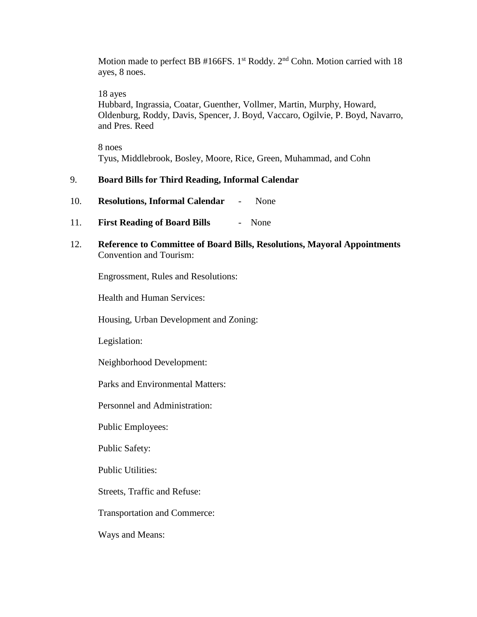Motion made to perfect BB #166FS.  $1<sup>st</sup>$  Roddy.  $2<sup>nd</sup>$  Cohn. Motion carried with 18 ayes, 8 noes.

18 ayes

Hubbard, Ingrassia, Coatar, Guenther, Vollmer, Martin, Murphy, Howard, Oldenburg, Roddy, Davis, Spencer, J. Boyd, Vaccaro, Ogilvie, P. Boyd, Navarro, and Pres. Reed

8 noes Tyus, Middlebrook, Bosley, Moore, Rice, Green, Muhammad, and Cohn

## 9. **Board Bills for Third Reading, Informal Calendar**

- 10. **Resolutions, Informal Calendar** None
- 11. **First Reading of Board Bills** None
- 12. **Reference to Committee of Board Bills, Resolutions, Mayoral Appointments** Convention and Tourism:

Engrossment, Rules and Resolutions:

Health and Human Services:

Housing, Urban Development and Zoning:

Legislation:

Neighborhood Development:

Parks and Environmental Matters:

Personnel and Administration:

Public Employees:

Public Safety:

Public Utilities:

Streets, Traffic and Refuse:

Transportation and Commerce:

Ways and Means: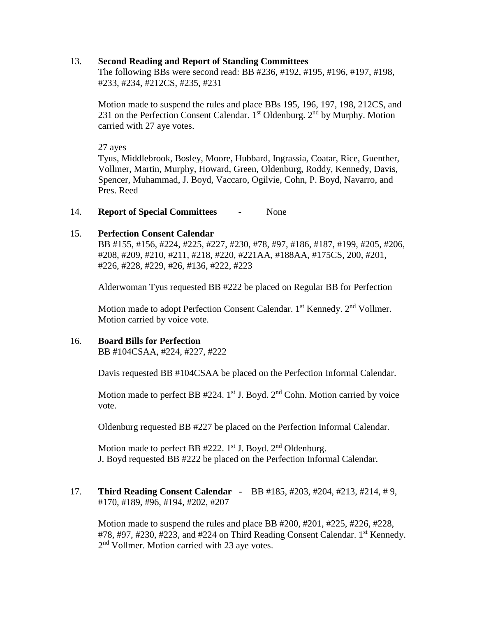### 13. **Second Reading and Report of Standing Committees**

The following BBs were second read: BB #236, #192, #195, #196, #197, #198, #233, #234, #212CS, #235, #231

Motion made to suspend the rules and place BBs 195, 196, 197, 198, 212CS, and 231 on the Perfection Consent Calendar.  $1<sup>st</sup>$  Oldenburg.  $2<sup>nd</sup>$  by Murphy. Motion carried with 27 aye votes.

27 ayes

Tyus, Middlebrook, Bosley, Moore, Hubbard, Ingrassia, Coatar, Rice, Guenther, Vollmer, Martin, Murphy, Howard, Green, Oldenburg, Roddy, Kennedy, Davis, Spencer, Muhammad, J. Boyd, Vaccaro, Ogilvie, Cohn, P. Boyd, Navarro, and Pres. Reed

## 14. **Report of Special Committees** - None

## 15. **Perfection Consent Calendar**

BB #155, #156, #224, #225, #227, #230, #78, #97, #186, #187, #199, #205, #206, #208, #209, #210, #211, #218, #220, #221AA, #188AA, #175CS, 200, #201, #226, #228, #229, #26, #136, #222, #223

Alderwoman Tyus requested BB #222 be placed on Regular BB for Perfection

Motion made to adopt Perfection Consent Calendar. 1<sup>st</sup> Kennedy. 2<sup>nd</sup> Vollmer. Motion carried by voice vote.

## 16. **Board Bills for Perfection**

BB #104CSAA, #224, #227, #222

Davis requested BB #104CSAA be placed on the Perfection Informal Calendar.

Motion made to perfect BB  $#224$ . 1<sup>st</sup> J. Boyd. 2<sup>nd</sup> Cohn. Motion carried by voice vote.

Oldenburg requested BB #227 be placed on the Perfection Informal Calendar.

Motion made to perfect BB  $#222$ .  $1^{st}$  J. Boyd.  $2^{nd}$  Oldenburg. J. Boyd requested BB #222 be placed on the Perfection Informal Calendar.

17. **Third Reading Consent Calendar** - BB #185, #203, #204, #213, #214, # 9, #170, #189, #96, #194, #202, #207

Motion made to suspend the rules and place BB #200, #201, #225, #226, #228, #78, #97, #230, #223, and #224 on Third Reading Consent Calendar. 1<sup>st</sup> Kennedy. 2<sup>nd</sup> Vollmer. Motion carried with 23 aye votes.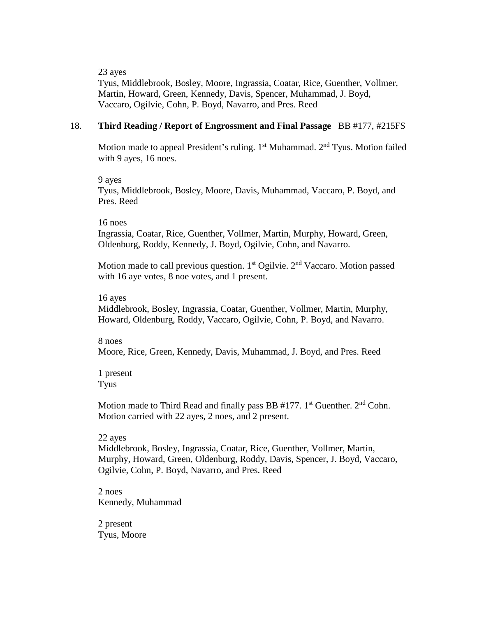23 ayes

Tyus, Middlebrook, Bosley, Moore, Ingrassia, Coatar, Rice, Guenther, Vollmer, Martin, Howard, Green, Kennedy, Davis, Spencer, Muhammad, J. Boyd, Vaccaro, Ogilvie, Cohn, P. Boyd, Navarro, and Pres. Reed

#### 18. **Third Reading / Report of Engrossment and Final Passage** BB #177, #215FS

Motion made to appeal President's ruling.  $1<sup>st</sup>$  Muhammad.  $2<sup>nd</sup>$  Tyus. Motion failed with 9 ayes, 16 noes.

9 ayes

Tyus, Middlebrook, Bosley, Moore, Davis, Muhammad, Vaccaro, P. Boyd, and Pres. Reed

16 noes

Ingrassia, Coatar, Rice, Guenther, Vollmer, Martin, Murphy, Howard, Green, Oldenburg, Roddy, Kennedy, J. Boyd, Ogilvie, Cohn, and Navarro.

Motion made to call previous question.  $1<sup>st</sup>$  Ogilvie.  $2<sup>nd</sup>$  Vaccaro. Motion passed with 16 aye votes, 8 noe votes, and 1 present.

#### 16 ayes

Middlebrook, Bosley, Ingrassia, Coatar, Guenther, Vollmer, Martin, Murphy, Howard, Oldenburg, Roddy, Vaccaro, Ogilvie, Cohn, P. Boyd, and Navarro.

8 noes Moore, Rice, Green, Kennedy, Davis, Muhammad, J. Boyd, and Pres. Reed

1 present Tyus

Motion made to Third Read and finally pass BB  $#177$ . 1<sup>st</sup> Guenther.  $2<sup>nd</sup>$  Cohn. Motion carried with 22 ayes, 2 noes, and 2 present.

#### 22 ayes

Middlebrook, Bosley, Ingrassia, Coatar, Rice, Guenther, Vollmer, Martin, Murphy, Howard, Green, Oldenburg, Roddy, Davis, Spencer, J. Boyd, Vaccaro, Ogilvie, Cohn, P. Boyd, Navarro, and Pres. Reed

2 noes Kennedy, Muhammad

2 present Tyus, Moore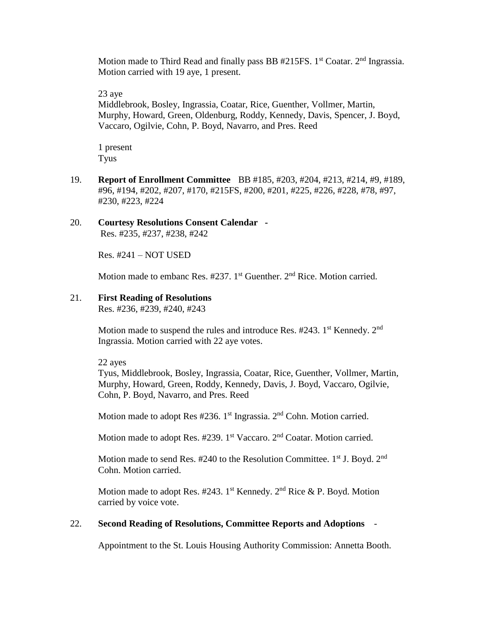Motion made to Third Read and finally pass BB  $#215FS$ . 1<sup>st</sup> Coatar. 2<sup>nd</sup> Ingrassia. Motion carried with 19 aye, 1 present.

23 aye

Middlebrook, Bosley, Ingrassia, Coatar, Rice, Guenther, Vollmer, Martin, Murphy, Howard, Green, Oldenburg, Roddy, Kennedy, Davis, Spencer, J. Boyd, Vaccaro, Ogilvie, Cohn, P. Boyd, Navarro, and Pres. Reed

1 present Tyus

19. **Report of Enrollment Committee** BB #185, #203, #204, #213, #214, #9, #189, #96, #194, #202, #207, #170, #215FS, #200, #201, #225, #226, #228, #78, #97, #230, #223, #224

# 20. **Courtesy Resolutions Consent Calendar -**

Res. #235, #237, #238, #242

Res. #241 – NOT USED

Motion made to embanc Res.  $#237$ . 1<sup>st</sup> Guenther.  $2<sup>nd</sup>$  Rice. Motion carried.

#### 21. **First Reading of Resolutions**

Res. #236, #239, #240, #243

Motion made to suspend the rules and introduce Res.  $#243$ . 1<sup>st</sup> Kennedy. 2<sup>nd</sup> Ingrassia. Motion carried with 22 aye votes.

22 ayes

Tyus, Middlebrook, Bosley, Ingrassia, Coatar, Rice, Guenther, Vollmer, Martin, Murphy, Howard, Green, Roddy, Kennedy, Davis, J. Boyd, Vaccaro, Ogilvie, Cohn, P. Boyd, Navarro, and Pres. Reed

Motion made to adopt Res  $#236$ . 1<sup>st</sup> Ingrassia.  $2<sup>nd</sup>$  Cohn. Motion carried.

Motion made to adopt Res. #239. 1<sup>st</sup> Vaccaro. 2<sup>nd</sup> Coatar. Motion carried.

Motion made to send Res.  $#240$  to the Resolution Committee.  $1<sup>st</sup>$  J. Boyd.  $2<sup>nd</sup>$ Cohn. Motion carried.

Motion made to adopt Res. #243. 1st Kennedy.  $2<sup>nd</sup>$  Rice & P. Boyd. Motion carried by voice vote.

## 22. **Second Reading of Resolutions, Committee Reports and Adoptions** -

Appointment to the St. Louis Housing Authority Commission: Annetta Booth.